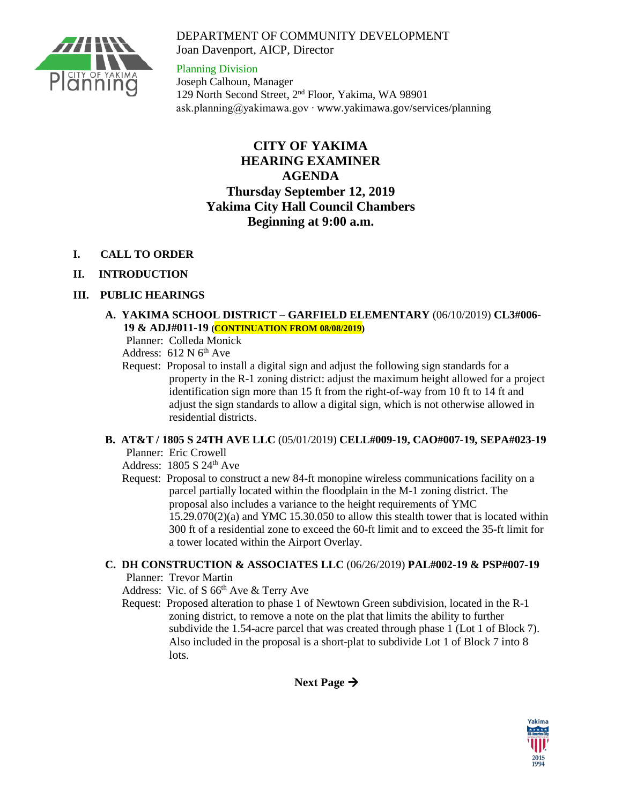### DEPARTMENT OF COMMUNITY DEVELOPMENT Joan Davenport, AICP, Director



Planning Division Joseph Calhoun, Manager 129 North Second Street, 2nd Floor, Yakima, WA 98901 ask.planning@yakimawa.gov ∙ www.yakimawa.gov/services/planning

# **CITY OF YAKIMA HEARING EXAMINER AGENDA Thursday September 12, 2019 Yakima City Hall Council Chambers Beginning at 9:00 a.m.**

- **I. CALL TO ORDER**
- **II. INTRODUCTION**

## **III. PUBLIC HEARINGS**

### **A. YAKIMA SCHOOL DISTRICT – GARFIELD ELEMENTARY** (06/10/2019) **CL3#006- 19 & ADJ#011-19 (CONTINUATION FROM 08/08/2019)**

Planner: Colleda Monick

Address:  $612$  N  $6<sup>th</sup>$  Ave

 Request: Proposal to install a digital sign and adjust the following sign standards for a property in the R-1 zoning district: adjust the maximum height allowed for a project identification sign more than 15 ft from the right-of-way from 10 ft to 14 ft and adjust the sign standards to allow a digital sign, which is not otherwise allowed in residential districts.

#### **B. AT&T / 1805 S 24TH AVE LLC** (05/01/2019) **CELL#009-19, CAO#007-19, SEPA#023-19**

Planner: Eric Crowell

Address:  $1805 S 24<sup>th</sup> Ave$ 

 Request: Proposal to construct a new 84-ft monopine wireless communications facility on a parcel partially located within the floodplain in the M-1 zoning district. The proposal also includes a variance to the height requirements of YMC 15.29.070(2)(a) and YMC 15.30.050 to allow this stealth tower that is located within 300 ft of a residential zone to exceed the 60-ft limit and to exceed the 35-ft limit for a tower located within the Airport Overlay.

## **C. DH CONSTRUCTION & ASSOCIATES LLC** (06/26/2019) **PAL#002-19 & PSP#007-19**

Planner: Trevor Martin

Address: Vic. of S 66<sup>th</sup> Ave & Terry Ave

 Request: Proposed alteration to phase 1 of Newtown Green subdivision, located in the R-1 zoning district, to remove a note on the plat that limits the ability to further subdivide the 1.54-acre parcel that was created through phase 1 (Lot 1 of Block 7). Also included in the proposal is a short-plat to subdivide Lot 1 of Block 7 into 8 lots.

**Next Page**